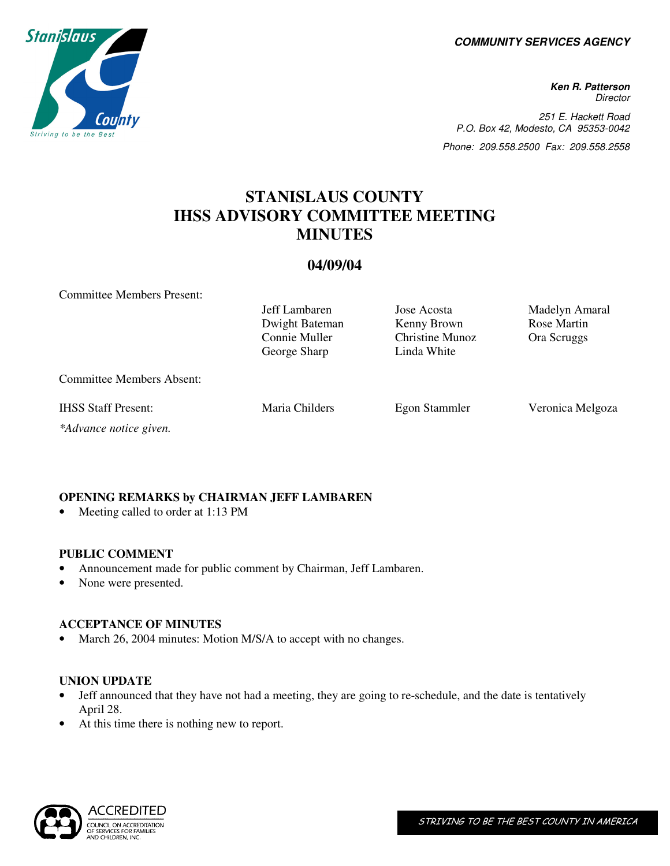**COMMUNITY SERVICES AGENCY** 

**Ken R. Patterson Director** 251 E. Hackett Road P.O. Box 42, Modesto, CA 95353-0042 Phone: 209.558.2500 Fax: 209.558.2558

# **STANISLAUS COUNTY IHSS ADVISORY COMMITTEE MEETING MINUTES**

# **04/09/04**

Committee Members Present:

|                                  | Jeff Lambaren<br>Dwight Bateman<br>Connie Muller<br>George Sharp | Jose Acosta<br>Kenny Brown<br><b>Christine Munoz</b><br>Linda White | Madelyn Amaral<br>Rose Martin<br>Ora Scruggs |
|----------------------------------|------------------------------------------------------------------|---------------------------------------------------------------------|----------------------------------------------|
| <b>Committee Members Absent:</b> |                                                                  |                                                                     |                                              |
| <b>IHSS Staff Present:</b>       | Maria Childers                                                   | Egon Stammler                                                       | Veronica Melgoza                             |
| *Advance notice given.           |                                                                  |                                                                     |                                              |

# **OPENING REMARKS by CHAIRMAN JEFF LAMBAREN**

Meeting called to order at 1:13 PM

# **PUBLIC COMMENT**

- Announcement made for public comment by Chairman, Jeff Lambaren.
- None were presented.

# **ACCEPTANCE OF MINUTES**

• March 26, 2004 minutes: Motion M/S/A to accept with no changes.

# **UNION UPDATE**

- Jeff announced that they have not had a meeting, they are going to re-schedule, and the date is tentatively April 28.
- At this time there is nothing new to report.



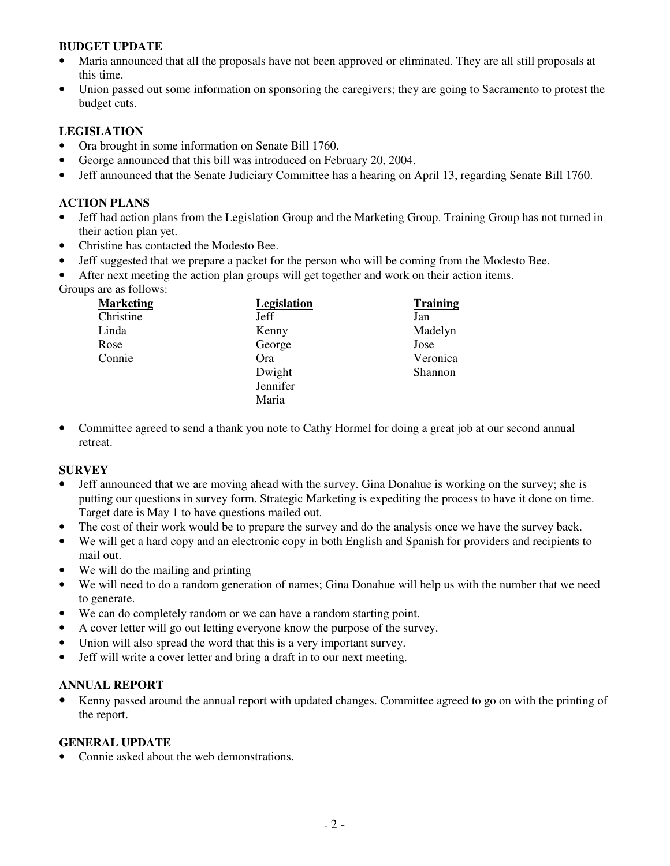# **BUDGET UPDATE**

- Maria announced that all the proposals have not been approved or eliminated. They are all still proposals at this time.
- Union passed out some information on sponsoring the caregivers; they are going to Sacramento to protest the budget cuts.

# **LEGISLATION**

- Ora brought in some information on Senate Bill 1760.
- George announced that this bill was introduced on February 20, 2004.
- Jeff announced that the Senate Judiciary Committee has a hearing on April 13, regarding Senate Bill 1760.

# **ACTION PLANS**

- Jeff had action plans from the Legislation Group and the Marketing Group. Training Group has not turned in their action plan yet.
- Christine has contacted the Modesto Bee.
- Jeff suggested that we prepare a packet for the person who will be coming from the Modesto Bee.
- After next meeting the action plan groups will get together and work on their action items.

| Groups are as follows: |             |                 |
|------------------------|-------------|-----------------|
| <b>Marketing</b>       | Legislation | <b>Training</b> |
| Christine              | Jeff        | Jan             |
| Linda                  | Kenny       | Madelyn         |
| Rose                   | George      | Jose            |
| Connie                 | Ora         | Veronica        |
|                        | Dwight      | Shannon         |
|                        | Jennifer    |                 |
|                        | Maria       |                 |

• Committee agreed to send a thank you note to Cathy Hormel for doing a great job at our second annual retreat.

# **SURVEY**

- Jeff announced that we are moving ahead with the survey. Gina Donahue is working on the survey; she is putting our questions in survey form. Strategic Marketing is expediting the process to have it done on time. Target date is May 1 to have questions mailed out.
- The cost of their work would be to prepare the survey and do the analysis once we have the survey back.
- We will get a hard copy and an electronic copy in both English and Spanish for providers and recipients to mail out.
- We will do the mailing and printing
- We will need to do a random generation of names; Gina Donahue will help us with the number that we need to generate.
- We can do completely random or we can have a random starting point.
- A cover letter will go out letting everyone know the purpose of the survey.
- Union will also spread the word that this is a very important survey.
- Jeff will write a cover letter and bring a draft in to our next meeting.

# **ANNUAL REPORT**

• Kenny passed around the annual report with updated changes. Committee agreed to go on with the printing of the report.

# **GENERAL UPDATE**

• Connie asked about the web demonstrations.